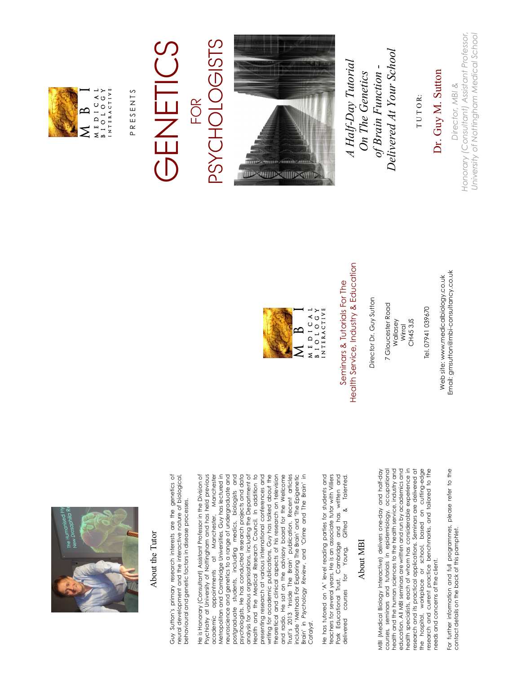

#### About the Tutor About the Tutor

Guy Sutton's primary research interests are the genetics of Guy Sutton's primary research interests are the genetics of neural development and the interactive nature of biological, neural development and the interactive nature of biological, behavioural and genetic factors in disease processes. behavioural and genetic factors in disease processes. He is Honorary (Consultant) Assistant Professor in the Division of He is Honorary (Consultant) Assistant Professor in the Division of Psychiatry at University of Nottingham and has held previous Psychiatry at University of Nottingham and has held previous academic appointments at Manchester, Manchester Metropolitan and Cambridge Universities. Guy has lectured in Metropolitan and Cambridge Universities. Guy has lectured in neuroscience and genetics to a range of undergraduate and neuroscience and genetics to a range of undergraduate and postgraduate students, including medics, biologists and postgraduate students, including medics, biologists and psychologists. He has conducted research projects and data psychologists. He has conducted research projects and data analysis for various organisations, including the Department of Health and the Medical Research Council. In addition to Health and the Medical Research Council. In addition to presenting research at various international conferences and presenting research at various international conferences and writing for academic publications, Guy has talked about the writing for academic publications, Guy has talked about the theoretical and clinical aspects of his research on television theoretical and clinical aspects of his research on television and radio. He sat on the advisory board for the Wellcome and radio. He sat on the advisory board for the Wellcome Trust's 2013 'Inside The Brain' publication. Recent articles Trust's 2013 'Inside The Brain' publication. Recent articles include 'Methods For Exploring The Brain' and 'The Epigenetic include 'Methods For Exploring The Brain' and 'The Epigenetic Brain' in Psychology Review, and 'Crime and The Brain' in Brain' in *Psychology Review*, and 'Crime and The Brain' in appointments at Manchester, Manchester analysis for various organisations, including the Department of academic *Catalyst.*

Park Educational Trust, Cambridge and has written and<br>delivered courses for Young, Gifted & Talented. He has tutored on 'A' level reading parties for students and He has tutored on 'A' level reading parties for students and teachers for several years. He is an associate tutor with Villiers Park Educational Trust, Cambridge and has written and teachers for several years. He is an associate tutor with Villiers delivered courses for Young, Gifted & Talented. delivered courses

#### About MBI About MBI

MBI (Medical Biology Interactive) delivers one-day and half-day courses, seminars and tutorials in epidemiology, occupational health and the human sciences to the health service, industry and education. All MBI seminars are written and run by academics and health specialists, each of whom has considerable experience in research and its practical applications. Seminars are delivered at the hospital, workplace or school, based on cutting-edge research and current practice benchmarks, and tailored to the NBI (Medical Biology Interactives one-day and half-day courses, seminars and tutorials in epidemiology, occupational health and the human sciences to the health service, industry and education. All MBI seminars are written and run by academics and health specialists, each of whom has considerable experience in research and its practical applications. Seminars are delivered at the hospital, workplace or school, based on cutting-edge<br>research and current practice benchmarks, and tailored to the needs and concerns of the client. needs and concerns of the client.

For further information and full programmes, please refer to the For further information and full programmes, please refer to the<br>contact details on the back of this pamphlet. contact details on the back of this pamphlet.



Health Service, Industry & Education Health Service, Industry & Education Seminars & Tutorials For The Seminars & Tutorials For The

Director Dr. Guy Sutton *Director* Dr. Guy Sutton

 7 Gloucester Road 7 Gloucester Road Wallasey

Web site: www.medicalbiology.co.uk Web site: www.medicalbiology.co.uk Email: gmsutton@mbi-consultancy.co.uk

Email: gmsutton@mbi-consultancy.co.uk

CH45 3JS CH45 3JS Wirral

Tel. 07941 039670

Tel. 07941 039670

 M B I MEDICAL<br>BIOLOGY<br>INTERACTIVE M E D I C A L b i o l o g y

 P R E S E N T S PRESENTS

I N T E R A C T I V E

#### **PSYCHOLOGISTS** PSYCHOLOGISTS GENETICS GENETICS FOR



 *Delivered At Your School*  Delivered At Your School  *A Half-Day Tutorial*  A Half-Day Tutorial *of Brain Function*  of Brain Function -*On The Genetics*  On The Genetics

T U T O R: TUTOR: Dr. Guy M. Sutton

Dr. Guy M. Sutton

*Honorary (Consultant) Assistant Professor, University of Nottingham Medical School* University of Nottingham Medical School Honorary (Consultant) Assistant Professor, Director, MBI & *Director, MBI &*